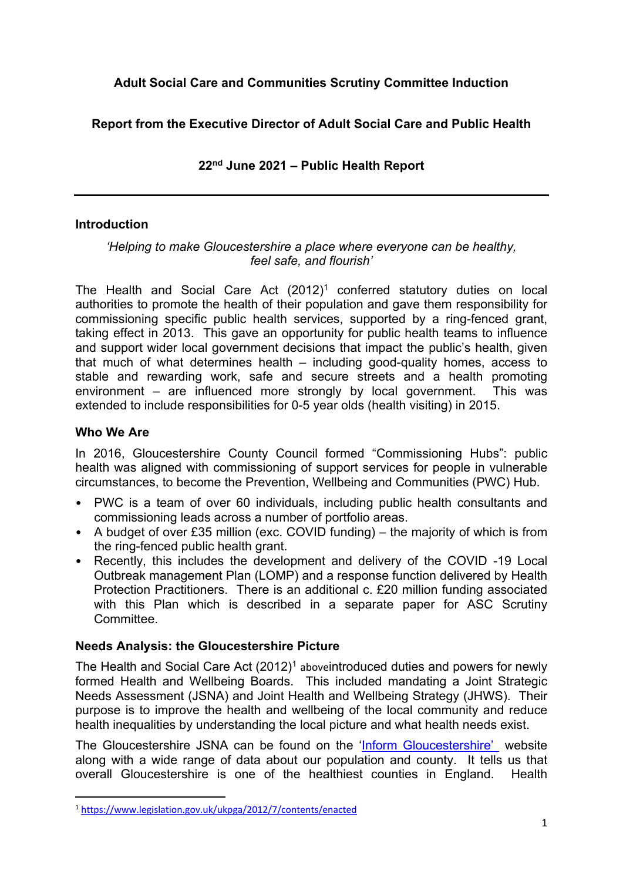# **Adult Social Care and Communities Scrutiny Committee Induction**

## **Report from the Executive Director of Adult Social Care and Public Health**

## <span id="page-0-1"></span><span id="page-0-0"></span>**22nd June 2021 – Public Health Report**

#### **Introduction**

#### *'Helping to make Gloucestershire a place where everyone can be healthy, feel safe, and flourish'*

The Health and Social Care Act (2012) <sup>1</sup> conferred statutory duties on local authorities to promote the health of their population and gave them responsibility for commissioning specific public health services, supported by a ring-fenced grant, taking effect in 2013. This gave an opportunity for public health teams to influence and support wider local government decisions that impact the public's health, given that much of what determines health – including good-quality homes, access to stable and rewarding work, safe and secure streets and a health promoting environment – are influenced more strongly by local government. This was extended to include responsibilities for 0-5 year olds (health visiting) in 2015.

#### **Who We Are**

In 2016, Gloucestershire County Council formed "Commissioning Hubs": public health was aligned with commissioning of support services for people in vulnerable circumstances, to become the Prevention, Wellbeing and Communities (PWC) Hub.

- PWC is a team of over 60 individuals, including public health consultants and commissioning leads across a number of portfolio areas.
- A budget of over £35 million (exc. COVID funding) the majority of which is from the ring-fenced public health grant.
- Recently, this includes the development and delivery of the COVID -19 Local Outbreak management Plan (LOMP) and a response function delivered by Health Protection Practitioners. There is an additional c. £20 million funding associated with this Plan which is described in a separate paper for ASC Scrutiny Committee.

## **Needs Analysis: the Gloucestershire Picture**

The Health and Social Care Act (2012)<sup>1</sup> [above](#page-0-0) introduced duties and powers for newly formed Health and Wellbeing Boards. This included mandating a Joint Strategic Needs Assessment (JSNA) and Joint Health and Wellbeing Strategy (JHWS). Their purpose is to improve the health and wellbeing of the local community and reduce health inequalities by understanding the local picture and what health needs exist.

The Gloucestershire JSNA can be found on the 'Inform [Gloucestershire'](https://inform.gloucestershire.gov.uk/understanding-gloucestershire-a-joint-strategic-needs-assessment-jsna/) website along with a wide range of data about our population and county. It tells us that overall Gloucestershire is one of the healthiest counties in England. Health

<sup>1</sup> <https://www.legislation.gov.uk/ukpga/2012/7/contents/enacted>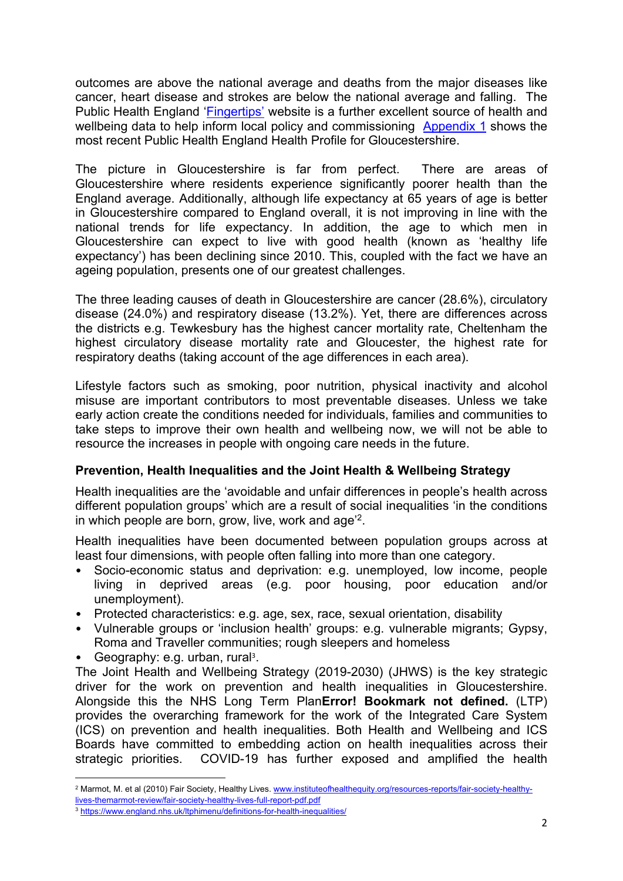outcomes are above the national average and deaths from the major diseases like cancer, heart disease and strokes are below the national average and falling. The Public Health England ['Fingertips'](https://fingertips.phe.org.uk/) website is a further excellent source of health and wellbeing data to help inform local policy and commissioning [Appendix](#page-10-0) 1 shows the most recent Public Health England Health Profile for Gloucestershire.

The picture in Gloucestershire is far from perfect. There are areas of Gloucestershire where residents experience significantly poorer health than the England average. Additionally, although life expectancy at 65 years of age is better in Gloucestershire compared to England overall, it is not improving in line with the national trends for life expectancy. In addition, the age to which men in Gloucestershire can expect to live with good health (known as 'healthy life expectancy') has been declining since 2010. This, coupled with the fact we have an ageing population, presents one of our greatest challenges.

The three leading causes of death in Gloucestershire are cancer (28.6%), circulatory disease (24.0%) and respiratory disease (13.2%). Yet, there are differences across the districts e.g. Tewkesbury has the highest cancer mortality rate, Cheltenham the highest circulatory disease mortality rate and Gloucester, the highest rate for respiratory deaths (taking account of the age differences in each area).

Lifestyle factors such as smoking, poor nutrition, physical inactivity and alcohol misuse are important contributors to most preventable diseases. Unless we take early action create the conditions needed for individuals, families and communities to take steps to improve their own health and wellbeing now, we will not be able to resource the increases in people with ongoing care needs in the future.

## **Prevention, Health Inequalities and the Joint Health & Wellbeing Strategy**

Health inequalities are the 'avoidable and unfair differences in people's health across different population groups' which are a result of social inequalities 'in the conditions in which people are born, grow, live, work and age<sup>22</sup>.

Health inequalities have been documented between population groups across at least four dimensions, with people often falling into more than one category.

- Socio-economic status and deprivation: e.g. unemployed, low income, people living in deprived areas (e.g. poor housing, poor education and/or unemployment).
- Protected characteristics: e.g. age, sex, race, sexual orientation, disability
- Vulnerable groups or 'inclusion health' groups: e.g. vulnerable migrants; Gypsy, Roma and Traveller communities; rough sleepers and homeless
- Geography: e.g. urban, rural<sup>3</sup>.

The Joint Health and Wellbeing Strategy (2019-2030) (JHWS) is the key strategic driver for the work on prevention and health inequalities in Gloucestershire. Alongside this the NHS Long Term Plan**Error! Bookmark not defined.** (LTP) provides the overarching framework for the work of the Integrated Care System (ICS) on prevention and health inequalities. Both Health and Wellbeing and ICS Boards have committed to embedding action on health inequalities across their strategic priorities. COVID-19 has further exposed and amplified the health

<sup>2</sup> Marmot, M. et al (2010) Fair Society, Healthy Lives. [www.instituteofhealthequity.org/resources-reports/fair-society-healthy](http://www.instituteofhealthequity.org/resources-reports/fair-society-healthy-lives-themarmot-review/fair-society-healthy-lives-full-report-pdf.pdf)[lives-themarmot-review/fair-society-healthy-lives-full-report-pdf.pdf](http://www.instituteofhealthequity.org/resources-reports/fair-society-healthy-lives-themarmot-review/fair-society-healthy-lives-full-report-pdf.pdf)

<sup>3</sup> <https://www.england.nhs.uk/ltphimenu/definitions-for-health-inequalities/>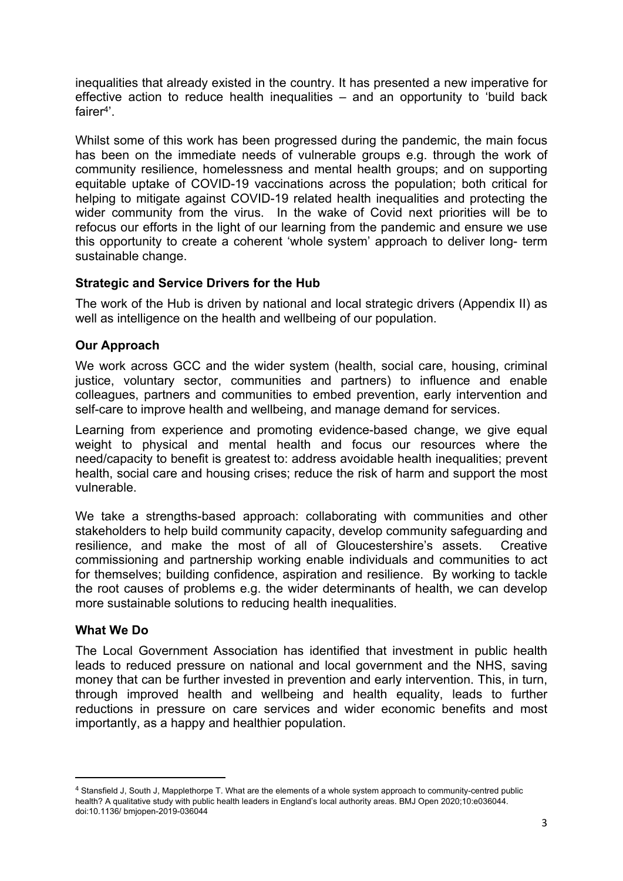inequalities that already existed in the country. It has presented a new imperative for effective action to reduce health inequalities – and an opportunity to 'build back fairer<sup>4</sup>'.

Whilst some of this work has been progressed during the pandemic, the main focus has been on the immediate needs of vulnerable groups e.g. through the work of community resilience, homelessness and mental health groups; and on supporting equitable uptake of COVID-19 vaccinations across the population; both critical for helping to mitigate against COVID-19 related health inequalities and protecting the wider community from the virus. In the wake of Covid next priorities will be to refocus our efforts in the light of our learning from the pandemic and ensure we use this opportunity to create a coherent 'whole system' approach to deliver long- term sustainable change.

#### **Strategic and Service Drivers for the Hub**

The work of the Hub is driven by national and local strategic drivers (Appendix II) as well as intelligence on the health and wellbeing of our population.

## **Our Approach**

We work across GCC and the wider system (health, social care, housing, criminal justice, voluntary sector, communities and partners) to influence and enable colleagues, partners and communities to embed prevention, early intervention and self-care to improve health and wellbeing, and manage demand for services.

Learning from experience and promoting evidence-based change, we give equal weight to physical and mental health and focus our resources where the need/capacity to benefit is greatest to: address avoidable health inequalities; prevent health, social care and housing crises; reduce the risk of harm and support the most vulnerable.

We take a strengths-based approach: collaborating with communities and other stakeholders to help build community capacity, develop community safeguarding and resilience, and make the most of all of Gloucestershire's assets. Creative commissioning and partnership working enable individuals and communities to act for themselves; building confidence, aspiration and resilience. By working to tackle the root causes of problems e.g. the wider determinants of health, we can develop more sustainable solutions to reducing health inequalities.

#### **What We Do**

The Local Government Association has identified that investment in public health leads to reduced pressure on national and local government and the NHS, saving money that can be further invested in prevention and early intervention. This, in turn, through improved health and wellbeing and health equality, leads to further reductions in pressure on care services and wider economic benefits and most importantly, as a happy and healthier population.

<sup>4</sup> Stansfield J, South J, Mapplethorpe T. What are the elements of a whole system approach to community-centred public health? A qualitative study with public health leaders in England's local authority areas. BMJ Open 2020;10:e036044. doi:10.1136/ bmjopen-2019-036044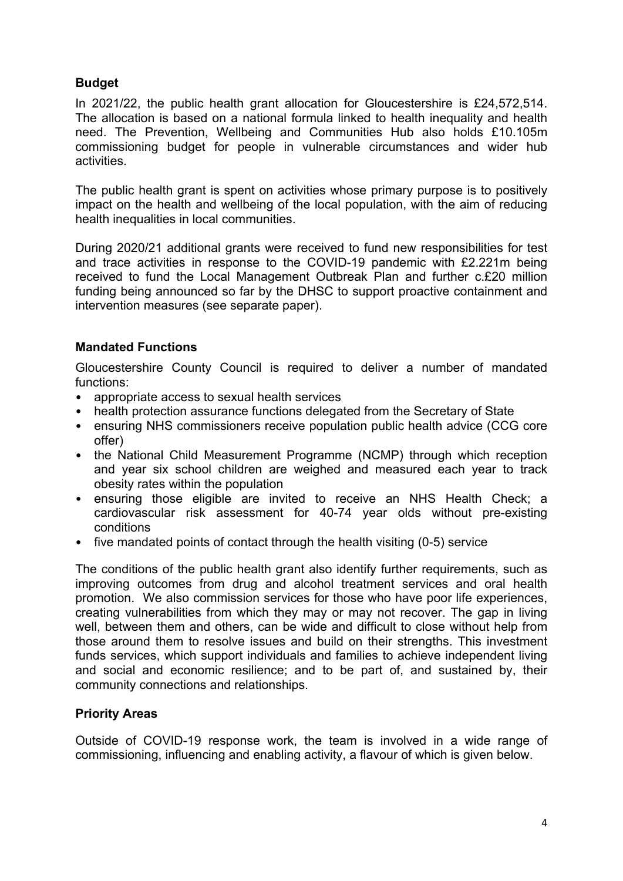# **Budget**

In 2021/22, the public health grant allocation for Gloucestershire is £24,572,514. The allocation is based on a national formula linked to health inequality and health need. The Prevention, Wellbeing and Communities Hub also holds £10.105m commissioning budget for people in vulnerable circumstances and wider hub activities.

The public health grant is spent on activities whose primary purpose is to positively impact on the health and wellbeing of the local population, with the aim of reducing health inequalities in local communities.

During 2020/21 additional grants were received to fund new responsibilities for test and trace activities in response to the COVID-19 pandemic with £2.221m being received to fund the Local Management Outbreak Plan and further c.£20 million funding being announced so far by the DHSC to support proactive containment and intervention measures (see separate paper).

## **Mandated Functions**

Gloucestershire County Council is required to deliver a number of mandated functions:

- appropriate access to sexual health services
- health protection assurance functions delegated from the Secretary of State
- ensuring NHS commissioners receive population public health advice (CCG core offer)
- the National Child Measurement Programme (NCMP) through which reception and year six school children are weighed and measured each year to track obesity rates within the population
- ensuring those eligible are invited to receive an NHS Health Check; a cardiovascular risk assessment for 40-74 year olds without pre-existing conditions
- five mandated points of contact through the health visiting (0-5) service

The conditions of the public health grant also identify further requirements, such as improving outcomes from drug and alcohol treatment services and oral health promotion. We also commission services for those who have poor life experiences, creating vulnerabilities from which they may or may not recover. The gap in living well, between them and others, can be wide and difficult to close without help from those around them to resolve issues and build on their strengths. This investment funds services, which support individuals and families to achieve independent living and social and economic resilience; and to be part of, and sustained by, their community connections and relationships.

## **Priority Areas**

Outside of COVID-19 response work, the team is involved in a wide range of commissioning, influencing and enabling activity, a flavour of which is given below.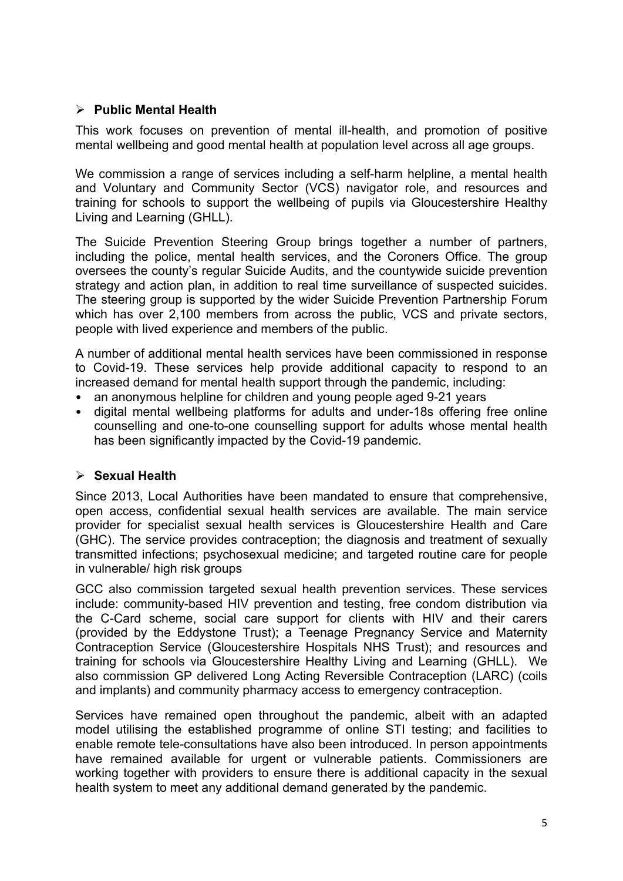## **Public Mental Health**

This work focuses on prevention of mental ill-health, and promotion of positive mental wellbeing and good mental health at population level across all age groups.

We commission a range of services including a self-harm helpline, a mental health and Voluntary and Community Sector (VCS) navigator role, and resources and training for schools to support the wellbeing of pupils via Gloucestershire Healthy Living and Learning (GHLL).

The Suicide Prevention Steering Group brings together a number of partners, including the police, mental health services, and the Coroners Office. The group oversees the county's regular Suicide Audits, and the countywide suicide prevention strategy and action plan, in addition to real time surveillance of suspected suicides. The steering group is supported by the wider Suicide Prevention Partnership Forum which has over 2,100 members from across the public, VCS and private sectors, people with lived experience and members of the public.

A number of additional mental health services have been commissioned in response to Covid-19. These services help provide additional capacity to respond to an increased demand for mental health support through the pandemic, including:

- an anonymous helpline for children and young people aged 9-21 years
- digital mental wellbeing platforms for adults and under-18s offering free online counselling and one-to-one counselling support for adults whose mental health has been significantly impacted by the Covid-19 pandemic.

## **Sexual Health**

Since 2013, Local Authorities have been mandated to ensure that comprehensive, open access, confidential sexual health services are available. The main service provider for specialist sexual health services is Gloucestershire Health and Care (GHC). The service provides contraception; the diagnosis and treatment of sexually transmitted infections; psychosexual medicine; and targeted routine care for people in vulnerable/ high risk groups

GCC also commission targeted sexual health prevention services. These services include: community-based HIV prevention and testing, free condom distribution via the C-Card scheme, social care support for clients with HIV and their carers (provided by the Eddystone Trust); a Teenage Pregnancy Service and Maternity Contraception Service (Gloucestershire Hospitals NHS Trust); and resources and training for schools via Gloucestershire Healthy Living and Learning (GHLL). We also commission GP delivered Long Acting Reversible Contraception (LARC) (coils and implants) and community pharmacy access to emergency contraception.

Services have remained open throughout the pandemic, albeit with an adapted model utilising the established programme of online STI testing; and facilities to enable remote tele-consultations have also been introduced. In person appointments have remained available for urgent or vulnerable patients. Commissioners are working together with providers to ensure there is additional capacity in the sexual health system to meet any additional demand generated by the pandemic.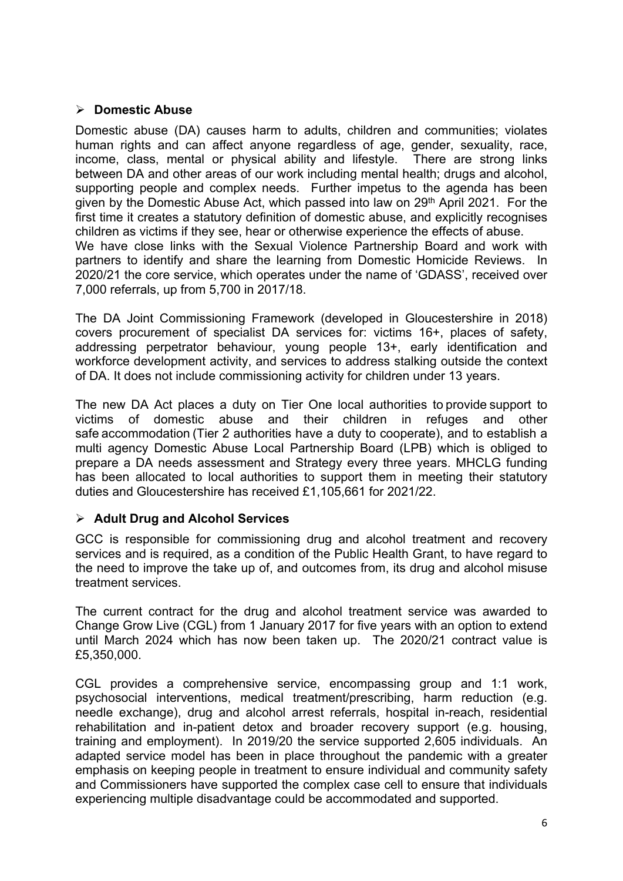#### **Domestic Abuse**

Domestic abuse (DA) causes harm to adults, children and communities; violates human rights and can affect anyone regardless of age, gender, sexuality, race, income, class, mental or physical ability and lifestyle. There are strong links between DA and other areas of our work including mental health; drugs and alcohol, supporting people and complex needs. Further impetus to the agenda has been given by the Domestic Abuse Act, which passed into law on 29<sup>th</sup> April 2021. For the first time it creates a statutory definition of domestic abuse, and explicitly recognises children as victims if they see, hear or otherwise experience the effects of abuse. We have close links with the Sexual Violence Partnership Board and work with partners to identify and share the learning from Domestic Homicide Reviews. In 2020/21 the core service, which operates under the name of 'GDASS', received over 7,000 referrals, up from 5,700 in 2017/18.

The DA Joint Commissioning Framework (developed in Gloucestershire in 2018) covers procurement of specialist DA services for: victims 16+, places of safety, addressing perpetrator behaviour, young people 13+, early identification and workforce development activity, and services to address stalking outside the context of DA. It does not include commissioning activity for children under 13 years.

The new DA Act places a duty on Tier One local authorities to provide support to victims of domestic abuse and their children in refuges and other safe accommodation (Tier 2 authorities have a duty to cooperate), and to establish a multi agency Domestic Abuse Local Partnership Board (LPB) which is obliged to prepare a DA needs assessment and Strategy every three years. MHCLG funding has been allocated to local authorities to support them in meeting their statutory duties and Gloucestershire has received £1,105,661 for 2021/22.

## **Adult Drug and Alcohol Services**

GCC is responsible for commissioning drug and alcohol treatment and recovery services and is required, as a condition of the Public Health Grant, to have regard to the need to improve the take up of, and outcomes from, its drug and alcohol misuse treatment services.

The current contract for the drug and alcohol treatment service was awarded to Change Grow Live (CGL) from 1 January 2017 for five years with an option to extend until March 2024 which has now been taken up. The 2020/21 contract value is £5,350,000.

CGL provides a comprehensive service, encompassing group and 1:1 work, psychosocial interventions, medical treatment/prescribing, harm reduction (e.g. needle exchange), drug and alcohol arrest referrals, hospital in-reach, residential rehabilitation and in-patient detox and broader recovery support (e.g. housing, training and employment). In 2019/20 the service supported 2,605 individuals. An adapted service model has been in place throughout the pandemic with a greater emphasis on keeping people in treatment to ensure individual and community safety and Commissioners have supported the complex case cell to ensure that individuals experiencing multiple disadvantage could be accommodated and supported.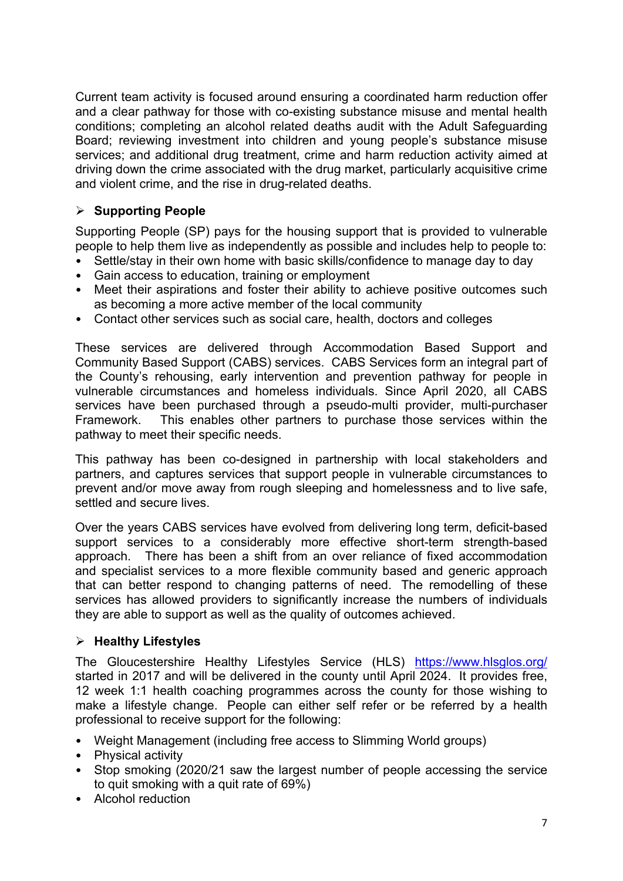Current team activity is focused around ensuring a coordinated harm reduction offer and a clear pathway for those with co-existing substance misuse and mental health conditions; completing an alcohol related deaths audit with the Adult Safeguarding Board; reviewing investment into children and young people's substance misuse services; and additional drug treatment, crime and harm reduction activity aimed at driving down the crime associated with the drug market, particularly acquisitive crime and violent crime, and the rise in drug-related deaths.

# **Supporting People**

Supporting People (SP) pays for the housing support that is provided to vulnerable people to help them live as independently as possible and includes help to people to:

- Settle/stay in their own home with basic skills/confidence to manage day to day
- Gain access to education, training or employment
- Meet their aspirations and foster their ability to achieve positive outcomes such as becoming a more active member of the local community
- Contact other services such as social care, health, doctors and colleges

These services are delivered through Accommodation Based Support and Community Based Support (CABS) services. CABS Services form an integral part of the County's rehousing, early intervention and prevention pathway for people in vulnerable circumstances and homeless individuals. Since April 2020, all CABS services have been purchased through a pseudo-multi provider, multi-purchaser Framework. This enables other partners to purchase those services within the pathway to meet their specific needs.

This pathway has been co-designed in partnership with local stakeholders and partners, and captures services that support people in vulnerable circumstances to prevent and/or move away from rough sleeping and homelessness and to live safe, settled and secure lives.

Over the years CABS services have evolved from delivering long term, deficit-based support services to a considerably more effective short-term strength-based approach. There has been a shift from an over reliance of fixed accommodation and specialist services to a more flexible community based and generic approach that can better respond to changing patterns of need. The remodelling of these services has allowed providers to significantly increase the numbers of individuals they are able to support as well as the quality of outcomes achieved.

## **Healthy Lifestyles**

The Gloucestershire Healthy Lifestyles Service (HLS) <https://www.hlsglos.org/> started in 2017 and will be delivered in the county until April 2024. It provides free, 12 week 1:1 health coaching programmes across the county for those wishing to make a lifestyle change. People can either self refer or be referred by a health professional to receive support for the following:

- Weight Management (including free access to Slimming World groups)
- Physical activity
- Stop smoking (2020/21 saw the largest number of people accessing the service to quit smoking with a quit rate of 69%)
- Alcohol reduction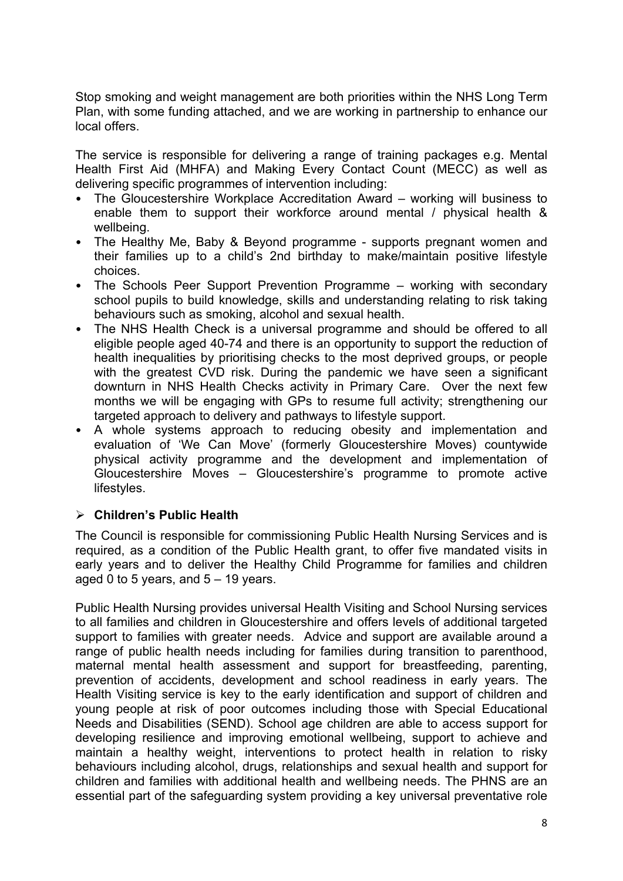Stop smoking and weight management are both priorities within the NHS Long Term Plan, with some funding attached, and we are working in partnership to enhance our local offers.

The service is responsible for delivering a range of training packages e.g. Mental Health First Aid (MHFA) and Making Every Contact Count (MECC) as well as delivering specific programmes of intervention including:

- The Gloucestershire Workplace Accreditation Award working will business to enable them to support their workforce around mental / physical health & wellbeing.
- The Healthy Me, Baby & Beyond programme supports pregnant women and their families up to a child's 2nd birthday to make/maintain positive lifestyle choices.
- The Schools Peer Support Prevention Programme working with secondary school pupils to build knowledge, skills and understanding relating to risk taking behaviours such as smoking, alcohol and sexual health.
- The NHS Health Check is a universal programme and should be offered to all eligible people aged 40-74 and there is an opportunity to support the reduction of health inequalities by prioritising checks to the most deprived groups, or people with the greatest CVD risk. During the pandemic we have seen a significant downturn in NHS Health Checks activity in Primary Care. Over the next few months we will be engaging with GPs to resume full activity; strengthening our targeted approach to delivery and pathways to lifestyle support.
- A whole systems approach to reducing obesity and implementation and evaluation of 'We Can Move' (formerly Gloucestershire Moves) countywide physical activity programme and the development and implementation of Gloucestershire Moves – Gloucestershire's programme to promote active lifestyles.

## **Children's Public Health**

The Council is responsible for commissioning Public Health Nursing Services and is required, as a condition of the Public Health grant, to offer five mandated visits in early years and to deliver the Healthy Child Programme for families and children aged 0 to 5 years, and  $5 - 19$  years.

Public Health Nursing provides universal Health Visiting and School Nursing services to all families and children in Gloucestershire and offers levels of additional targeted support to families with greater needs. Advice and support are available around a range of public health needs including for families during transition to parenthood, maternal mental health assessment and support for breastfeeding, parenting, prevention of accidents, development and school readiness in early years. The Health Visiting service is key to the early identification and support of children and young people at risk of poor outcomes including those with Special Educational Needs and Disabilities (SEND). School age children are able to access support for developing resilience and improving emotional wellbeing, support to achieve and maintain a healthy weight, interventions to protect health in relation to risky behaviours including alcohol, drugs, relationships and sexual health and support for children and families with additional health and wellbeing needs. The PHNS are an essential part of the safeguarding system providing a key universal preventative role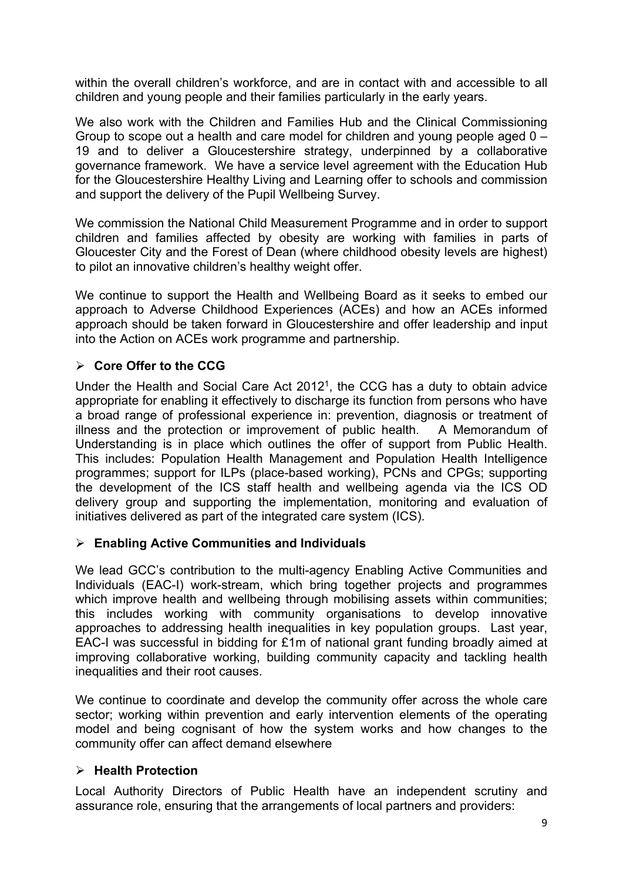within the overall children's workforce, and are in contact with and accessible to all children and young people and their families particularly in the early years.

We also work with the Children and Families Hub and the Clinical Commissioning Group to scope out a health and care model for children and young people aged 0 – 19 and to deliver a Gloucestershire strategy, underpinned by a collaborative governance framework. We have a service level agreement with the Education Hub for the Gloucestershire Healthy Living and Learning offer to schools and commission and support the delivery of the Pupil Wellbeing Survey.

We commission the National Child Measurement Programme and in order to support children and families affected by obesity are working with families in parts of Gloucester City and the Forest of Dean (where childhood obesity levels are highest) to pilot an innovative children's healthy weight offer.

We continue to support the Health and Wellbeing Board as it seeks to embed our approach to Adverse Childhood Experiences (ACEs) and how an ACEs informed approach should be taken forward in Gloucestershire and offer leadership and input into the Action on ACEs work programme and partnership.

# **Core Offer to the CCG**

Under the Health and Social Care Act 2012[1](#page-0-1) , the CCG has a duty to obtain advice appropriate for enabling it effectively to discharge its function from persons who have a broad range of professional experience in: prevention, diagnosis or treatment of illness and the protection or improvement of public health. A Memorandum of Understanding is in place which outlines the offer of support from Public Health. This includes: Population Health Management and Population Health Intelligence programmes; support for ILPs (place-based working), PCNs and CPGs; supporting the development of the ICS staff health and wellbeing agenda via the ICS OD delivery group and supporting the implementation, monitoring and evaluation of initiatives delivered as part of the integrated care system (ICS).

## **Enabling Active Communities and Individuals**

We lead GCC's contribution to the multi-agency Enabling Active Communities and Individuals (EAC-I) work-stream, which bring together projects and programmes which improve health and wellbeing through mobilising assets within communities; this includes working with community organisations to develop innovative approaches to addressing health inequalities in key population groups. Last year, EAC-I was successful in bidding for £1m of national grant funding broadly aimed at improving collaborative working, building community capacity and tackling health inequalities and their root causes.

We continue to coordinate and develop the community offer across the whole care sector; working within prevention and early intervention elements of the operating model and being cognisant of how the system works and how changes to the community offer can affect demand elsewhere

## **Health Protection**

Local Authority Directors of Public Health have an independent scrutiny and assurance role, ensuring that the arrangements of local partners and providers: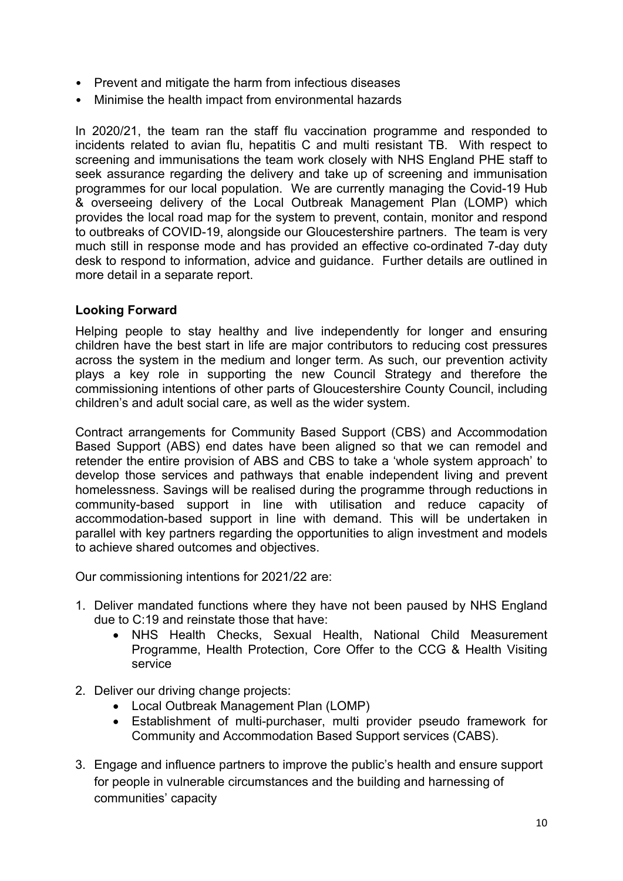- Prevent and mitigate the harm from infectious diseases
- Minimise the health impact from environmental hazards

In 2020/21, the team ran the staff flu vaccination programme and responded to incidents related to avian flu, hepatitis C and multi resistant TB. With respect to screening and immunisations the team work closely with NHS England PHE staff to seek assurance regarding the delivery and take up of screening and immunisation programmes for our local population. We are currently managing the Covid-19 Hub & overseeing delivery of the Local Outbreak Management Plan (LOMP) which provides the local road map for the system to prevent, contain, monitor and respond to outbreaks of COVID-19, alongside our Gloucestershire partners. The team is very much still in response mode and has provided an effective co-ordinated 7-day duty desk to respond to information, advice and guidance. Further details are outlined in more detail in a separate report.

#### **Looking Forward**

Helping people to stay healthy and live independently for longer and ensuring children have the best start in life are major contributors to reducing cost pressures across the system in the medium and longer term. As such, our prevention activity plays a key role in supporting the new Council Strategy and therefore the commissioning intentions of other parts of Gloucestershire County Council, including children's and adult social care, as well as the wider system.

Contract arrangements for Community Based Support (CBS) and Accommodation Based Support (ABS) end dates have been aligned so that we can remodel and retender the entire provision of ABS and CBS to take a 'whole system approach' to develop those services and pathways that enable independent living and prevent homelessness. Savings will be realised during the programme through reductions in community-based support in line with utilisation and reduce capacity of accommodation-based support in line with demand. This will be undertaken in parallel with key partners regarding the opportunities to align investment and models to achieve shared outcomes and objectives.

Our commissioning intentions for 2021/22 are:

- 1. Deliver mandated functions where they have not been paused by NHS England due to C:19 and reinstate those that have:
	- NHS Health Checks, Sexual Health, National Child Measurement Programme, Health Protection, Core Offer to the CCG & Health Visiting service
- 2. Deliver our driving change projects:
	- Local Outbreak Management Plan (LOMP)
	- Establishment of multi-purchaser, multi provider pseudo framework for Community and Accommodation Based Support services (CABS).
- 3. Engage and influence partners to improve the public's health and ensure support for people in vulnerable circumstances and the building and harnessing of communities' capacity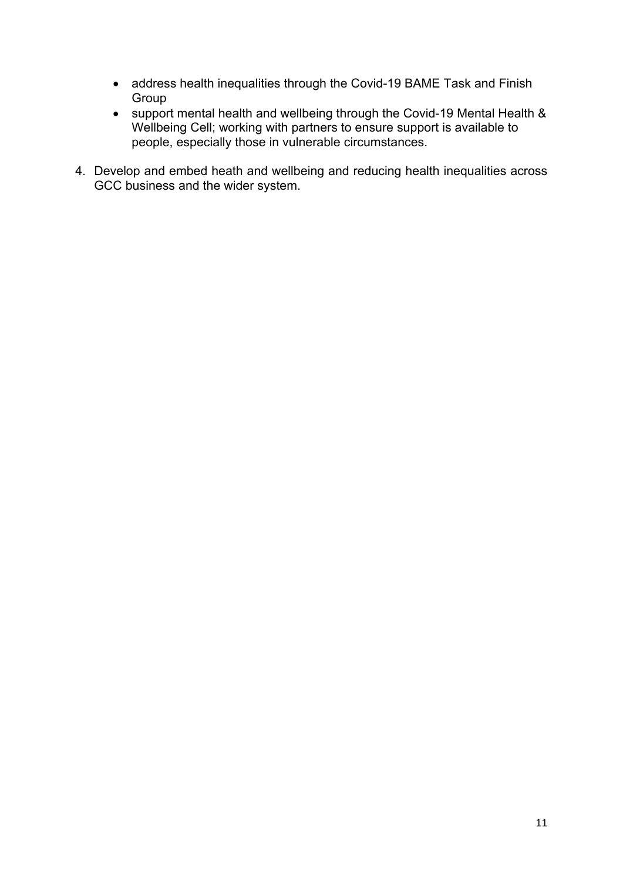- address health inequalities through the Covid-19 BAME Task and Finish Group
- support mental health and wellbeing through the Covid-19 Mental Health & Wellbeing Cell; working with partners to ensure support is available to people, especially those in vulnerable circumstances.
- <span id="page-10-0"></span>4. Develop and embed heath and wellbeing and reducing health inequalities across GCC business and the wider system.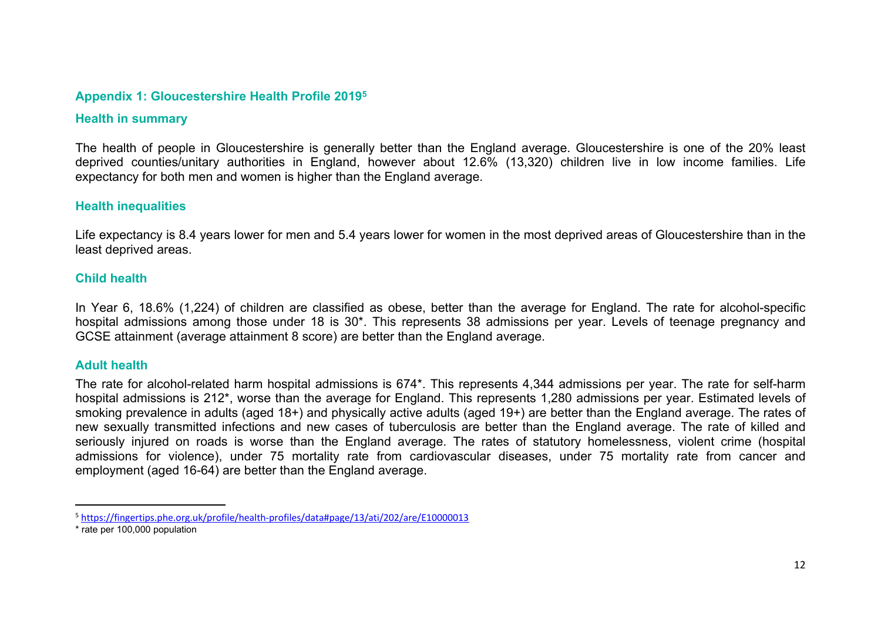#### **Appendix 1: Gloucestershire Health Profile 2019<sup>5</sup>**

#### **Health in summary**

The health of people in Gloucestershire is generally better than the England average. Gloucestershire is one of the 20% least deprived counties/unitary authorities in England, however about 12.6% (13,320) children live in low income families. Life expectancy for both men and women is higher than the England average.

#### **Health inequalities**

Life expectancy is 8.4 years lower for men and 5.4 years lower for women in the most deprived areas of Gloucestershire than in the least deprived areas.

#### **Child health**

In Year 6, 18.6% (1,224) of children are classified as obese, better than the average for England. The rate for alcohol-specific hospital admissions among those under 18 is 30\*. This represents 38 admissions per year. Levels of teenage pregnancy and GCSE attainment (average attainment 8 score) are better than the England average.

#### **Adult health**

The rate for alcohol-related harm hospital admissions is 674\*. This represents 4,344 admissions per year. The rate for self-harm hospital admissions is 212\*, worse than the average for England. This represents 1,280 admissions per year. Estimated levels of smoking prevalence in adults (aged 18+) and physically active adults (aged 19+) are better than the England average. The rates of new sexually transmitted infections and new cases of tuberculosis are better than the England average. The rate of killed and seriously injured on roads is worse than the England average. The rates of statutory homelessness, violent crime (hospital admissions for violence), under 75 mortality rate from cardiovascular diseases, under 75 mortality rate from cancer and employment (aged 16-64) are better than the England average.

<sup>5</sup> <https://fingertips.phe.org.uk/profile/health-profiles/data#page/13/ati/202/are/E10000013>

<sup>\*</sup> rate per 100,000 population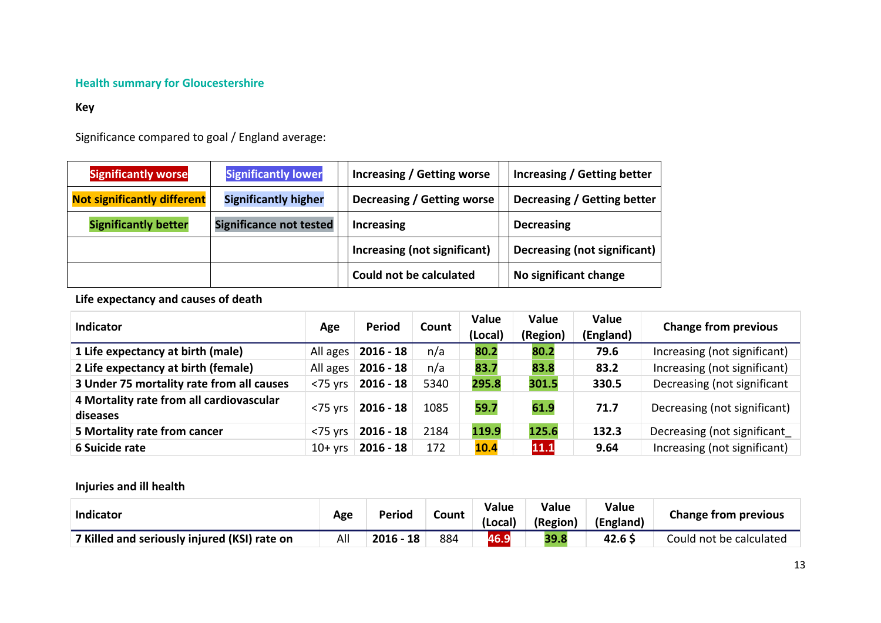#### **Health summary for Gloucestershire**

#### **Key**

Significance compared to goal / England average:

| <b>Significantly worse</b>         | <b>Significantly lower</b>     | Increasing / Getting worse   | Increasing / Getting better  |
|------------------------------------|--------------------------------|------------------------------|------------------------------|
| <b>Not significantly different</b> | <b>Significantly higher</b>    | Decreasing / Getting worse   | Decreasing / Getting better  |
| <b>Significantly better</b>        | <b>Significance not tested</b> | Increasing                   | <b>Decreasing</b>            |
|                                    |                                | Increasing (not significant) | Decreasing (not significant) |
|                                    |                                | Could not be calculated      | No significant change        |

#### **Life expectancy and causes of death**

| <b>Indicator</b>                                     | Age                 | <b>Period</b>          | Count | <b>Value</b><br>(Local) | <b>Value</b><br>(Region) | Value<br>(England) | <b>Change from previous</b>  |
|------------------------------------------------------|---------------------|------------------------|-------|-------------------------|--------------------------|--------------------|------------------------------|
| 1 Life expectancy at birth (male)                    |                     | All ages   2016 - 18   | n/a   | 80.2                    | 80.2                     | 79.6               | Increasing (not significant) |
| 2 Life expectancy at birth (female)                  |                     | All ages   2016 - 18   | n/a   | 83.7                    | 83.8                     | 83.2               | Increasing (not significant) |
| 3 Under 75 mortality rate from all causes            |                     | $<$ 75 yrs   2016 - 18 | 5340  | 295.8                   | 301.5                    | 330.5              | Decreasing (not significant  |
| 4 Mortality rate from all cardiovascular<br>diseases | $<$ 75 yrs          | $2016 - 18$            | 1085  | 59.7                    | 61.9                     | 71.7               | Decreasing (not significant) |
| 5 Mortality rate from cancer                         | $<$ 75 $\forall$ rs | $2016 - 18$            | 2184  | 119.9                   | 125.6                    | 132.3              | Decreasing (not significant  |
| 6 Suicide rate                                       | $10+$ yrs           | $2016 - 18$            | 172   | 10.4                    | 11.1                     | 9.64               | Increasing (not significant) |

## **Injuries and ill health**

| Indicator                                    | Age | Period      | Count | Value<br>(Local) | <b>Value</b><br>(Region) | Value<br>(England) | <b>Change from previous</b> |
|----------------------------------------------|-----|-------------|-------|------------------|--------------------------|--------------------|-----------------------------|
| 7 Killed and seriously injured (KSI) rate on | All | $2016 - 18$ | 884   | 46.9             | 39.8                     | 42.6 \$            | Could not be calculated     |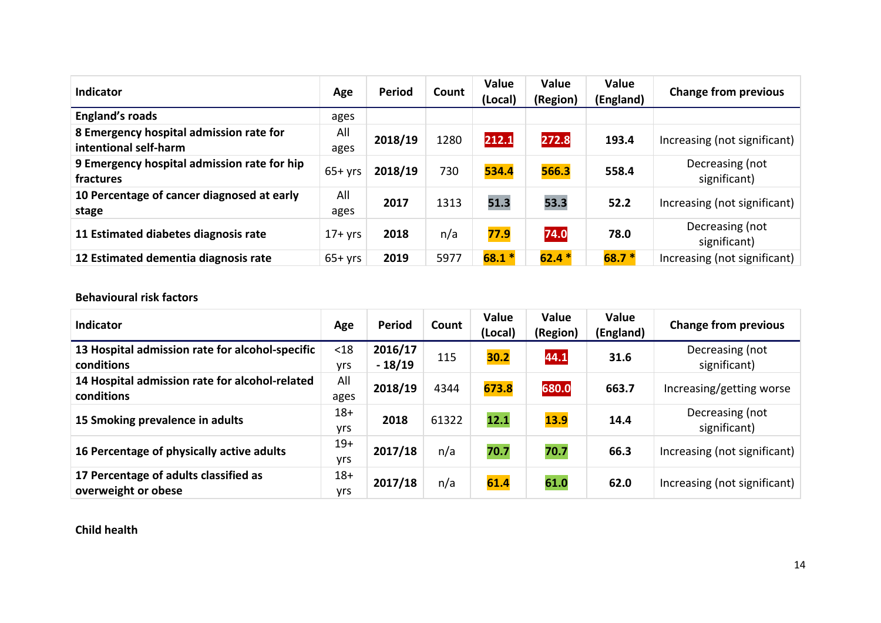| <b>Indicator</b>                                                 | Age         | <b>Period</b> | Count | <b>Value</b><br>(Local) | Value<br>(Region) | Value<br>(England) | <b>Change from previous</b>     |
|------------------------------------------------------------------|-------------|---------------|-------|-------------------------|-------------------|--------------------|---------------------------------|
| <b>England's roads</b>                                           | ages        |               |       |                         |                   |                    |                                 |
| 8 Emergency hospital admission rate for<br>intentional self-harm | All<br>ages | 2018/19       | 1280  | 212.1                   | 272.8             | 193.4              | Increasing (not significant)    |
| 9 Emergency hospital admission rate for hip<br>fractures         | $65+yrs$    | 2018/19       | 730   | 534.4                   | 566.3             | 558.4              | Decreasing (not<br>significant) |
| 10 Percentage of cancer diagnosed at early<br>stage              | All<br>ages | 2017          | 1313  | 51.3                    | 53.3              | 52.2               | Increasing (not significant)    |
| 11 Estimated diabetes diagnosis rate                             | $17+$ yrs   | 2018          | n/a   | 77.9                    | 74.0              | 78.0               | Decreasing (not<br>significant) |
| 12 Estimated dementia diagnosis rate                             | $65+$ yrs   | 2019          | 5977  | $68.1*$                 | $62.4*$           | $68.7*$            | Increasing (not significant)    |

#### **Behavioural risk factors**

| <b>Indicator</b>                                              | Age                 | <b>Period</b>       | Count | Value<br>(Local) | Value<br>(Region) | Value<br>(England) | <b>Change from previous</b>     |
|---------------------------------------------------------------|---------------------|---------------------|-------|------------------|-------------------|--------------------|---------------------------------|
| 13 Hospital admission rate for alcohol-specific<br>conditions | < 18<br><b>vrs</b>  | 2016/17<br>$-18/19$ | 115   | 30.2             | 44.1              | 31.6               | Decreasing (not<br>significant) |
| 14 Hospital admission rate for alcohol-related<br>conditions  | All<br>ages         | 2018/19             | 4344  | 673.8            | 680.0             | 663.7              | Increasing/getting worse        |
| 15 Smoking prevalence in adults                               | $18+$<br>yrs        | 2018                | 61322 | 12.1             | <b>13.9</b>       | 14.4               | Decreasing (not<br>significant) |
| 16 Percentage of physically active adults                     | $19+$<br><b>vrs</b> | 2017/18             | n/a   | 70.7             | 70.7              | 66.3               | Increasing (not significant)    |
| 17 Percentage of adults classified as<br>overweight or obese  | $18+$<br><b>vrs</b> | 2017/18             | n/a   | 61.4             | 61.0              | 62.0               | Increasing (not significant)    |

**Child health**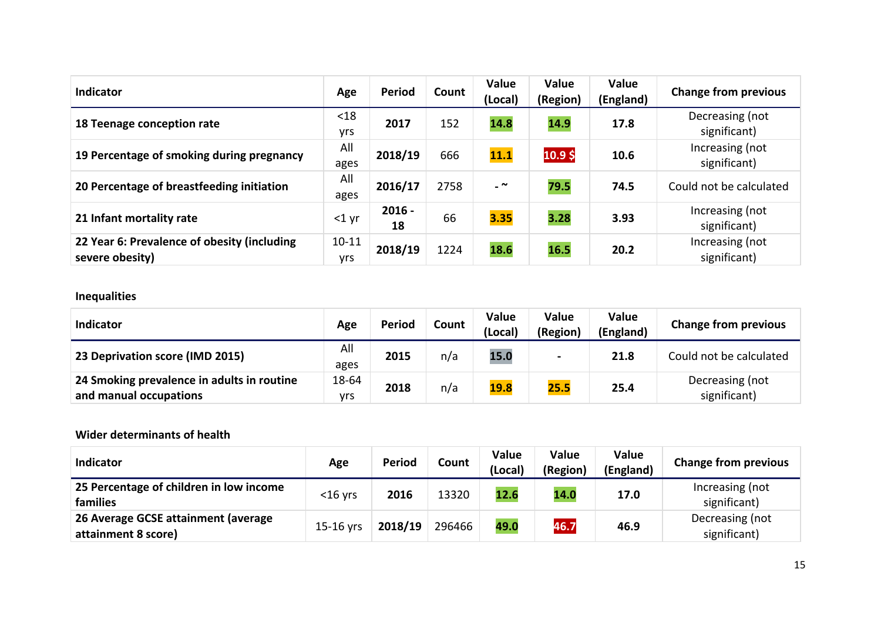| <b>Indicator</b>                                               | Age                     | <b>Period</b>  | Count | Value<br>(Local)         | Value<br>(Region) | Value<br>(England) | <b>Change from previous</b>     |
|----------------------------------------------------------------|-------------------------|----------------|-------|--------------------------|-------------------|--------------------|---------------------------------|
| 18 Teenage conception rate                                     | $18$<br>yrs             | 2017           | 152   | 14.8                     | 14.9              | 17.8               | Decreasing (not<br>significant) |
| 19 Percentage of smoking during pregnancy                      | All<br>ages             | 2018/19        | 666   | 11.1                     | 10.9\$            | 10.6               | Increasing (not<br>significant) |
| 20 Percentage of breastfeeding initiation                      | All<br>ages             | 2016/17        | 2758  | $\overline{\phantom{a}}$ | 79.5              | 74.5               | Could not be calculated         |
| 21 Infant mortality rate                                       | $<$ 1 yr                | $2016 -$<br>18 | 66    | 3.35                     | 3.28              | 3.93               | Increasing (not<br>significant) |
| 22 Year 6: Prevalence of obesity (including<br>severe obesity) | $10 - 11$<br><b>vrs</b> | 2018/19        | 1224  | 18.6                     | 16.5              | 20.2               | Increasing (not<br>significant) |

# **Inequalities**

| <b>Indicator</b>                                                     | Age          | <b>Period</b> | Count | Value<br>(Local) | Value<br>(Region) | Value<br>(England) | <b>Change from previous</b>     |
|----------------------------------------------------------------------|--------------|---------------|-------|------------------|-------------------|--------------------|---------------------------------|
| 23 Deprivation score (IMD 2015)                                      | All<br>ages  | 2015          | n/a   | 15.0             |                   | 21.8               | Could not be calculated         |
| 24 Smoking prevalence in adults in routine<br>and manual occupations | 18-64<br>vrs | 2018          | n/a   | <b>19.8</b>      | 25.5              | 25.4               | Decreasing (not<br>significant) |

#### **Wider determinants of health**

| <b>Indicator</b>                                           | Age        | <b>Period</b> | Count  | Value<br>(Local) | Value<br>(Region) | Value<br>(England) | <b>Change from previous</b>     |
|------------------------------------------------------------|------------|---------------|--------|------------------|-------------------|--------------------|---------------------------------|
| 25 Percentage of children in low income<br><b>families</b> | $<$ 16 yrs | 2016          | 13320  | 12.6             | 14.0              | 17.0               | Increasing (not<br>significant) |
| 26 Average GCSE attainment (average<br>attainment 8 score) | 15-16 vrs  | 2018/19       | 296466 | 49.0             | 46.7              | 46.9               | Decreasing (not<br>significant) |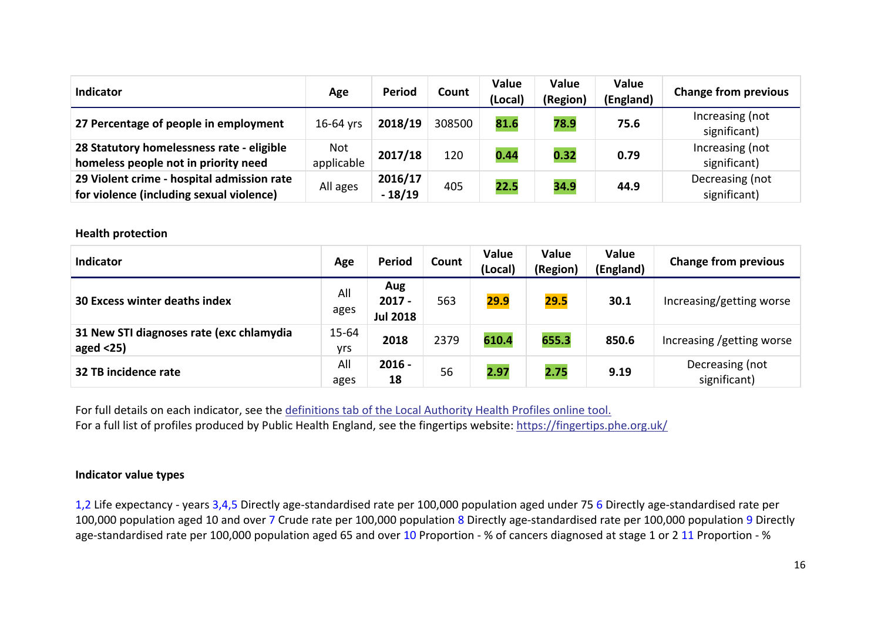| Indicator                                                                              | Age               | Period              | Count  | <b>Value</b><br>(Local) | Value<br>(Region) | Value<br>(England) | <b>Change from previous</b>     |
|----------------------------------------------------------------------------------------|-------------------|---------------------|--------|-------------------------|-------------------|--------------------|---------------------------------|
| 27 Percentage of people in employment                                                  | 16-64 vrs         | 2018/19             | 308500 | 81.6                    | 78.9              | 75.6               | Increasing (not<br>significant) |
| 28 Statutory homelessness rate - eligible<br>homeless people not in priority need      | Not<br>applicable | 2017/18             | 120    | 0.44                    | 0.32              | 0.79               | Increasing (not<br>significant) |
| 29 Violent crime - hospital admission rate<br>for violence (including sexual violence) | All ages          | 2016/17<br>$-18/19$ | 405    | 22.5                    | 34.9              | 44.9               | Decreasing (not<br>significant) |

#### **Health protection**

| <b>Indicator</b>                                         | Age              | <b>Period</b>                      | Count | Value<br>(Local) | Value<br>(Region) | Value<br>(England) | <b>Change from previous</b>     |
|----------------------------------------------------------|------------------|------------------------------------|-------|------------------|-------------------|--------------------|---------------------------------|
| <b>30 Excess winter deaths index</b>                     | All<br>ages      | Aug<br>$2017 -$<br><b>Jul 2018</b> | 563   | 29.9             | 29.5              | 30.1               | Increasing/getting worse        |
| 31 New STI diagnoses rate (exc chlamydia<br>aged $<$ 25) | $15 - 64$<br>yrs | 2018                               | 2379  | 610.4            | 655.3             | 850.6              | Increasing /getting worse       |
| 32 TB incidence rate                                     | All<br>ages      | $2016 -$<br>18                     | 56    | 2.97             | 2.75              | 9.19               | Decreasing (not<br>significant) |

For full details on each indicator, see the [definitions](https://fingertips.phe.org.uk/profile/health-profiles/data#page/6/gid/1938132701/pat/6/par/E12000004/ati/201/are/E07000032/iid/90366/age/1/sex/1) tab of the Local Authority Health Profiles online tool. For a full list of profiles produced by Public Health England, see the fingertips website: <https://fingertips.phe.org.uk/>

#### **Indicator value types**

1,2 Life expectancy - years 3,4,5 Directly age-standardised rate per 100,000 population aged under 75 6 Directly age-standardised rate per 100,000 population aged 10 and over 7 Crude rate per 100,000 population 8 Directly age-standardised rate per 100,000 population 9 Directly age-standardised rate per 100,000 population aged 65 and over 10 Proportion - % of cancers diagnosed at stage 1 or 2 11 Proportion - %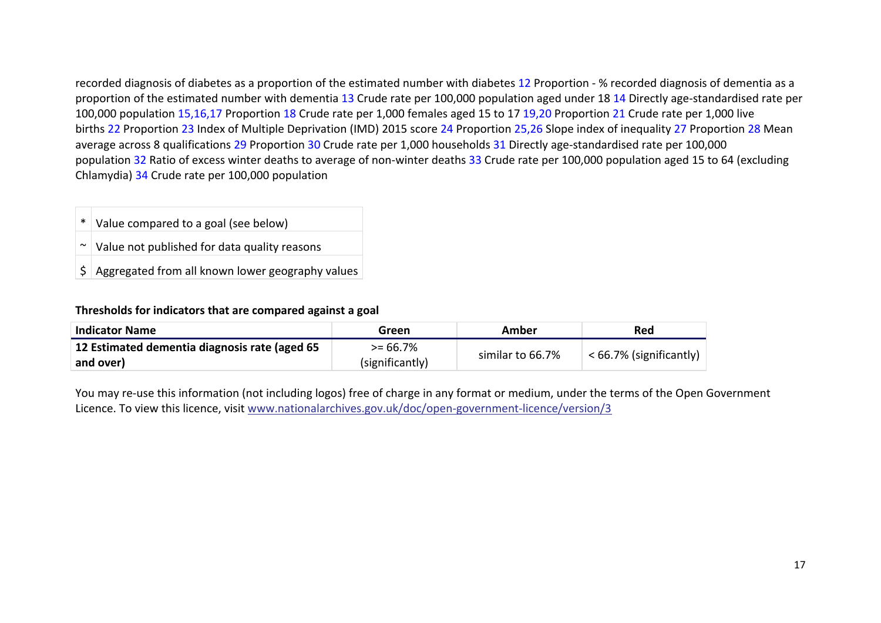recorded diagnosis of diabetes as a proportion of the estimated number with diabetes 12 Proportion - % recorded diagnosis of dementia as a proportion of the estimated number with dementia 13 Crude rate per 100,000 population aged under 18 14 Directly age-standardised rate per 100,000 population 15,16,17 Proportion 18 Crude rate per 1,000 females aged 15 to 17 19,20 Proportion 21 Crude rate per 1,000 live births 22 Proportion 23 Index of Multiple Deprivation (IMD) 2015 score 24 Proportion 25,26 Slope index of inequality 27 Proportion 28 Mean average across 8 qualifications 29 Proportion 30 Crude rate per 1,000 households 31 Directly age-standardised rate per 100,000 population 32 Ratio of excess winter deaths to average of non-winter deaths 33 Crude rate per 100,000 population aged 15 to 64 (excluding Chlamydia) 34 Crude rate per 100,000 population

- Value compared to a goal (see below)
- Value not published for data quality reasons
- $\frac{1}{5}$  Aggregated from all known lower geography values

#### **Thresholds for indicators that are compared against a goal**

| <b>Indicator Name</b>                         | Green           | Amber            | Red                     |
|-----------------------------------------------|-----------------|------------------|-------------------------|
| 12 Estimated dementia diagnosis rate (aged 65 | >= 66.7%        | similar to 66.7% |                         |
| and over)                                     | (significantly) |                  | < 66.7% (significantly) |

You may re-use this information (not including logos) free of charge in any format or medium, under the terms of the Open Government Licence. To view this licence, visit [www.nationalarchives.gov.uk/doc/open-government-licence/version/3](http://www.nationalarchives.gov.uk/doc/open-government-licence/version/3/)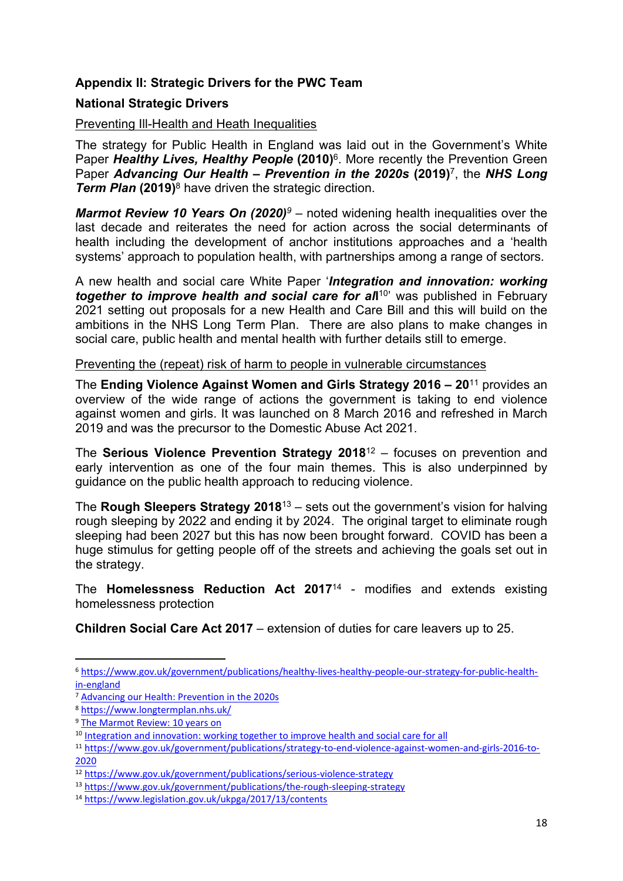## **Appendix II: Strategic Drivers for the PWC Team**

#### **National Strategic Drivers**

#### Preventing Ill-Health and Heath Inequalities

The strategy for Public Health in England was laid out in the Government's White Paper *Healthy Lives, Healthy People* **(2010)**<sup>6</sup> . More recently the Prevention Green Paper *Advancing Our Health* **–** *Prevention in the 2020s* **(2019)**<sup>7</sup> , the *NHS Long Term Plan* **(2019)**<sup>8</sup> have driven the strategic direction.

*Marmot Review 10 Years On (2020)<sup>9</sup>* – noted widening health inequalities over the last decade and reiterates the need for action across the social determinants of health including the development of anchor institutions approaches and a 'health systems' approach to population health, with partnerships among a range of sectors.

A new health and social care White Paper '*Integration and innovation: working together to improve health and social care for al***l** 10 ' was published in February 2021 setting out proposals for a new Health and Care Bill and this will build on the ambitions in the NHS Long Term Plan. There are also plans to make changes in social care, public health and mental health with further details still to emerge.

Preventing the (repeat) risk of harm to people in vulnerable circumstances

The **Ending Violence Against Women and Girls Strategy 2016 – 20**<sup>11</sup> provides an overview of the wide range of actions the government is taking to end violence against women and girls. It was launched on 8 March 2016 and refreshed in March 2019 and was the precursor to the Domestic Abuse Act 2021.

The **Serious Violence Prevention Strategy 2018**<sup>12</sup> – focuses on prevention and early intervention as one of the four main themes. This is also underpinned by guidance on the public health approach to reducing violence.

The **Rough Sleepers Strategy 2018**<sup>13</sup> – sets out the government's vision for halving rough sleeping by 2022 and ending it by 2024. The original target to eliminate rough sleeping had been 2027 but this has now been brought forward. COVID has been a huge stimulus for getting people off of the streets and achieving the goals set out in the strategy.

The **Homelessness Reduction Act 2017**<sup>14</sup> - modifies and extends existing homelessness protection

**Children Social Care Act 2017** – extension of duties for care leavers up to 25.

<sup>6</sup> [https://www.gov.uk/government/publications/healthy-lives-healthy-people-our-strategy-for-public-health](https://www.gov.uk/government/publications/healthy-lives-healthy-people-our-strategy-for-public-health-in-england)[in-england](https://www.gov.uk/government/publications/healthy-lives-healthy-people-our-strategy-for-public-health-in-england)

<sup>7</sup> Advancing our Health: [Prevention](https://assets.publishing.service.gov.uk/government/uploads/system/uploads/attachment_data/file/819766/advancing-our-health-prevention-in-the-2020s-accessible.pdf) in the 2020s

<sup>8</sup> <https://www.longtermplan.nhs.uk/>

<sup>9</sup> The [Marmot](https://www.health.org.uk/publications/reports/the-marmot-review-10-years-on#:~:text=The%20Health%20Foundation%20commissioned%20the%20Institute%20of%20Health,explores%20changes%20since%202010%20in%20five%20policy%20objectives%3A) Review: 10 years on

<sup>&</sup>lt;sup>10</sup> Integration and [innovation:](https://www.gov.uk/government/publications/working-together-to-improve-health-and-social-care-for-all/integration-and-innovation-working-together-to-improve-health-and-social-care-for-all-html-version) working together to improve health and social care for all

<sup>11</sup> [https://www.gov.uk/government/publications/strategy-to-end-violence-against-women-and-girls-2016-to-](https://www.gov.uk/government/publications/strategy-to-end-violence-against-women-and-girls-2016-to-2020)[2020](https://www.gov.uk/government/publications/strategy-to-end-violence-against-women-and-girls-2016-to-2020)

<sup>12</sup> <https://www.gov.uk/government/publications/serious-violence-strategy>

<sup>13</sup> <https://www.gov.uk/government/publications/the-rough-sleeping-strategy>

<sup>14</sup> <https://www.legislation.gov.uk/ukpga/2017/13/contents>